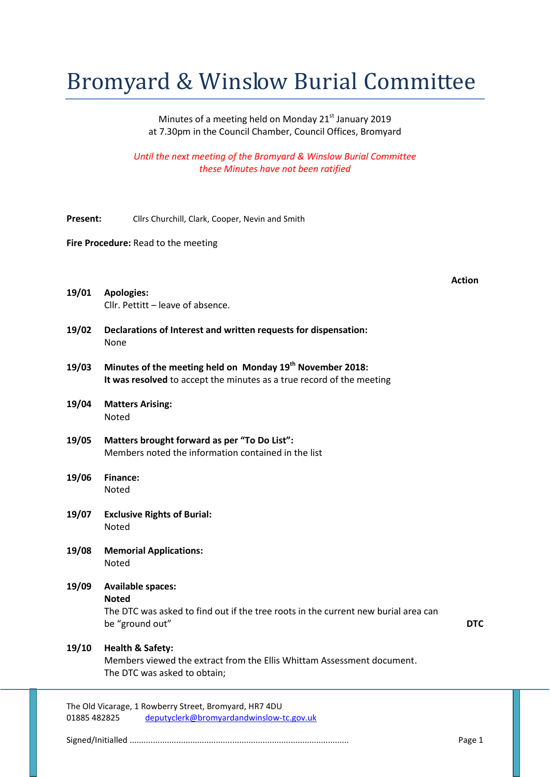## Bromyard & Winslow Burial Committee

Minutes of a meeting held on Monday 21<sup>st</sup> January 2019 at 7.30pm in the Council Chamber, Council Offices, Bromyard

*Until the next meeting of the Bromyard & Winslow Burial Committee these Minutes have not been ratified*

- **Present:** Cllrs Churchill, Clark, Cooper, Nevin and Smith
- **Fire Procedure:** Read to the meeting

**Action**

| 19/01 | <b>Apologies:</b>                 |
|-------|-----------------------------------|
|       | Cllr. Pettitt - leave of absence. |

- **19/02 Declarations of Interest and written requests for dispensation:** None
- **19/03 Minutes of the meeting held on Monday 19th November 2018: It was resolved** to accept the minutes as a true record of the meeting
- **19/04 Matters Arising:** Noted
- **19/05 Matters brought forward as per "To Do List":** Members noted the information contained in the list
- **19/06 Finance:** Noted
- **19/07 Exclusive Rights of Burial:** Noted
- **19/08 Memorial Applications:** Noted
- **19/09 Available spaces: Noted**

The DTC was asked to find out if the tree roots in the current new burial area can be "ground out" **DTC**

## **19/10 Health & Safety:**

Members viewed the extract from the Ellis Whittam Assessment document. The DTC was asked to obtain;

The Old Vicarage, 1 Rowberry Street, Bromyard, HR7 4DU 01885 482825 deputyclerk@bromyardandwinslow-tc.gov.uk

Signed/Initialled .............................................................................................. Page 1